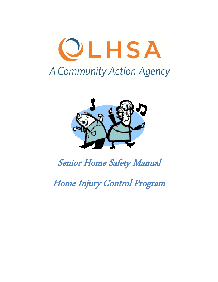



# Senior Home Safety Manual

Home Injury Control Program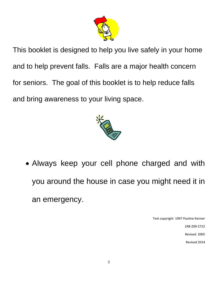

This booklet is designed to help you live safely in your home and to help prevent falls. Falls are a major health concern for seniors. The goal of this booklet is to help reduce falls and bring awareness to your living space.



 Always keep your cell phone charged and with you around the house in case you might need it in an emergency.

Text copyright 1997 Pauline Kenner

248‐209‐2722

Revised 2005

Revised 2014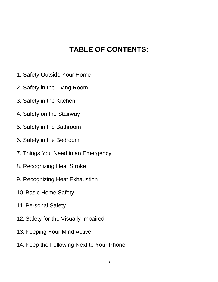#### **TABLE OF CONTENTS:**

- 1. Safety Outside Your Home
- 2. Safety in the Living Room
- 3. Safety in the Kitchen
- 4. Safety on the Stairway
- 5. Safety in the Bathroom
- 6. Safety in the Bedroom
- 7. Things You Need in an Emergency
- 8. Recognizing Heat Stroke
- 9. Recognizing Heat Exhaustion
- 10. Basic Home Safety
- 11. Personal Safety
- 12. Safety for the Visually Impaired
- 13. Keeping Your Mind Active
- 14. Keep the Following Next to Your Phone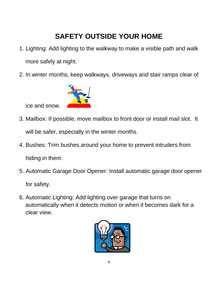## **SAFETY OUTSIDE YOUR HOME**

- 1. Lighting: Add lighting to the walkway to make a visible path and walk more safely at night.
- 2. In winter months, keep walkways, driveways and stair ramps clear of



ice and snow.

- 3. Mailbox: If possible, move mailbox to front door or install mail slot. It will be safer, especially in the winter months.
- 4. Bushes: Trim bushes around your home to prevent intruders from hiding in them.
- 5. Automatic Garage Door Opener: Install automatic garage door opener

for safety.

6. Automatic Lighting: Add lighting over garage that turns on automatically when it detects motion or when it becomes dark for a clear view.

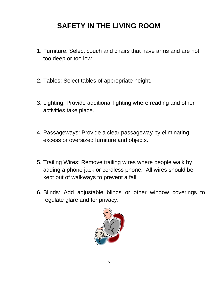#### **SAFETY IN THE LIVING ROOM**

- 1. Furniture: Select couch and chairs that have arms and are not too deep or too low.
- 2. Tables: Select tables of appropriate height.
- 3. Lighting: Provide additional lighting where reading and other activities take place.
- 4. Passageways: Provide a clear passageway by eliminating excess or oversized furniture and objects.
- 5. Trailing Wires: Remove trailing wires where people walk by adding a phone jack or cordless phone. All wires should be kept out of walkways to prevent a fall.
- 6. Blinds: Add adjustable blinds or other window coverings to regulate glare and for privacy.

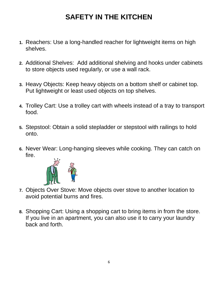## **SAFETY IN THE KITCHEN**

- **1.** Reachers: Use a long-handled reacher for lightweight items on high shelves.
- **2.** Additional Shelves: Add additional shelving and hooks under cabinets to store objects used regularly, or use a wall rack.
- **3.** Heavy Objects: Keep heavy objects on a bottom shelf or cabinet top. Put lightweight or least used objects on top shelves.
- **4.** Trolley Cart: Use a trolley cart with wheels instead of a tray to transport food.
- **5.** Stepstool: Obtain a solid stepladder or stepstool with railings to hold onto.
- **6.** Never Wear: Long-hanging sleeves while cooking. They can catch on fire.



- **7.** Objects Over Stove: Move objects over stove to another location to avoid potential burns and fires.
- **8.** Shopping Cart: Using a shopping cart to bring items in from the store. If you live in an apartment, you can also use it to carry your laundry back and forth.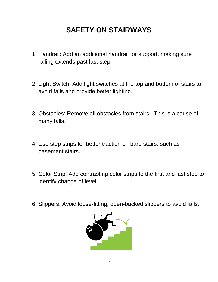#### **SAFETY ON STAIRWAYS**

- 1. Handrail: Add an additional handrail for support, making sure railing extends past last step.
- 2. Light Switch: Add light switches at the top and bottom of stairs to avoid falls and provide better lighting.
- 3. Obstacles: Remove all obstacles from stairs. This is a cause of many falls.
- 4. Use step strips for better traction on bare stairs, such as basement stairs.
- 5. Color Strip: Add contrasting color strips to the first and last step to identify change of level.
- 6. Slippers: Avoid loose-fitting, open-backed slippers to avoid falls.

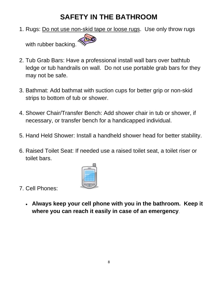#### **SAFETY IN THE BATHROOM**

1. Rugs: Do not use non-skid tape or loose rugs. Use only throw rugs

with rubber backing.

- 2. Tub Grab Bars: Have a professional install wall bars over bathtub ledge or tub handrails on wall. Do not use portable grab bars for they may not be safe.
- 3. Bathmat: Add bathmat with suction cups for better grip or non-skid strips to bottom of tub or shower.
- 4. Shower Chair/Transfer Bench: Add shower chair in tub or shower, if necessary, or transfer bench for a handicapped individual.
- 5. Hand Held Shower: Install a handheld shower head for better stability.
- 6. Raised Toilet Seat: If needed use a raised toilet seat, a toilet riser or toilet bars.



- 7. Cell Phones:
	- **Always keep your cell phone with you in the bathroom. Keep it where you can reach it easily in case of an emergency**.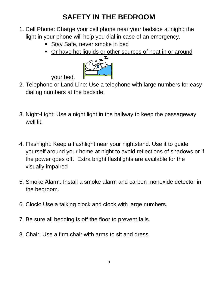## **SAFETY IN THE BEDROOM**

- 1. Cell Phone: Charge your cell phone near your bedside at night; the light in your phone will help you dial in case of an emergency.
	- **Stay Safe, never smoke in bed**
	- Or have hot liquids or other sources of heat in or around<br> $\mathcal{L} \times \mathbf{Z}$



your bed.

- 2. Telephone or Land Line: Use a telephone with large numbers for easy dialing numbers at the bedside.
- 3. Night-Light: Use a night light in the hallway to keep the passageway well lit.
- 4. Flashlight: Keep a flashlight near your nightstand. Use it to guide yourself around your home at night to avoid reflections of shadows or if the power goes off. Extra bright flashlights are available for the visually impaired
- 5. Smoke Alarm: Install a smoke alarm and carbon monoxide detector in the bedroom.
- 6. Clock: Use a talking clock and clock with large numbers.
- 7. Be sure all bedding is off the floor to prevent falls.
- 8. Chair: Use a firm chair with arms to sit and dress.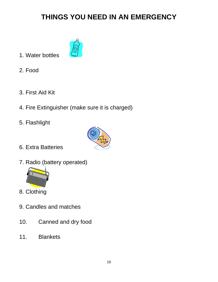### **THINGS YOU NEED IN AN EMERGENCY**



- 1. Water bottles
- 2. Food
- 3. First Aid Kit
- 4. Fire Extinguisher (make sure it is charged)
- 5. Flashlight



- 6. Extra Batteries
- 7. Radio (battery operated)



- 8. Clothing
- 9. Candles and matches
- 10. Canned and dry food
- 11. Blankets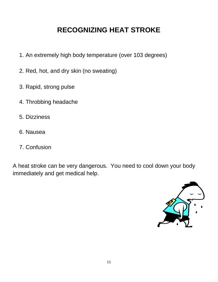### **RECOGNIZING HEAT STROKE**

- 1. An extremely high body temperature (over 103 degrees)
- 2. Red, hot, and dry skin (no sweating)
- 3. Rapid, strong pulse
- 4. Throbbing headache
- 5. Dizziness
- 6. Nausea
- 7. Confusion

A heat stroke can be very dangerous. You need to cool down your body immediately and get medical help.

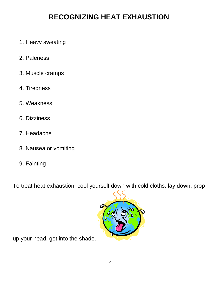#### **RECOGNIZING HEAT EXHAUSTION**

- 1. Heavy sweating
- 2. Paleness
- 3. Muscle cramps
- 4. Tiredness
- 5. Weakness
- 6. Dizziness
- 7. Headache
- 8. Nausea or vomiting
- 9. Fainting

To treat heat exhaustion, cool yourself down with cold cloths, lay down, prop



up your head, get into the shade.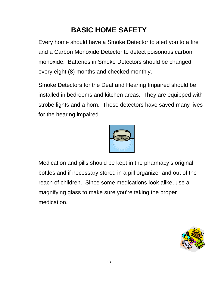## **BASIC HOME SAFETY**

Every home should have a Smoke Detector to alert you to a fire and a Carbon Monoxide Detector to detect poisonous carbon monoxide. Batteries in Smoke Detectors should be changed every eight (8) months and checked monthly.

Smoke Detectors for the Deaf and Hearing Impaired should be installed in bedrooms and kitchen areas. They are equipped with strobe lights and a horn. These detectors have saved many lives for the hearing impaired.



Medication and pills should be kept in the pharmacy's original bottles and if necessary stored in a pill organizer and out of the reach of children. Since some medications look alike, use a magnifying glass to make sure you're taking the proper medication.

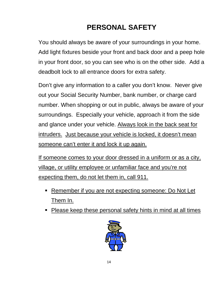# **PERSONAL SAFETY**

You should always be aware of your surroundings in your home. Add light fixtures beside your front and back door and a peep hole in your front door, so you can see who is on the other side. Add a deadbolt lock to all entrance doors for extra safety.

Don't give any information to a caller you don't know. Never give out your Social Security Number, bank number, or charge card number. When shopping or out in public, always be aware of your surroundings. Especially your vehicle, approach it from the side and glance under your vehicle. Always look in the back seat for intruders. Just because your vehicle is locked, it doesn't mean someone can't enter it and lock it up again.

If someone comes to your door dressed in a uniform or as a city, village, or utility employee or unfamiliar face and you're not expecting them, do not let them in, call 911.

- Remember if you are not expecting someone: Do Not Let Them In.
- Please keep these personal safety hints in mind at all times

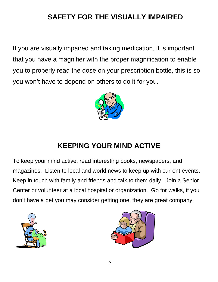## **SAFETY FOR THE VISUALLY IMPAIRED**

If you are visually impaired and taking medication, it is important that you have a magnifier with the proper magnification to enable you to properly read the dose on your prescription bottle, this is so you won't have to depend on others to do it for you.



### **KEEPING YOUR MIND ACTIVE**

To keep your mind active, read interesting books, newspapers, and magazines. Listen to local and world news to keep up with current events. Keep in touch with family and friends and talk to them daily. Join a Senior Center or volunteer at a local hospital or organization. Go for walks, if you don't have a pet you may consider getting one, they are great company.